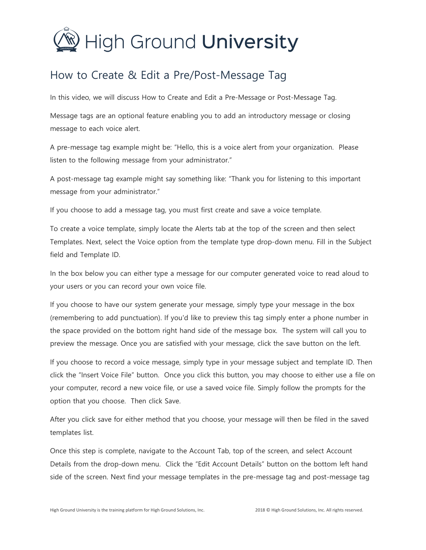## **High Ground University**

## How to Create & Edit a Pre/Post-Message Tag

In this video, we will discuss How to Create and Edit a Pre-Message or Post-Message Tag.

Message tags are an optional feature enabling you to add an introductory message or closing message to each voice alert.

A pre-message tag example might be: "Hello, this is a voice alert from your organization. Please listen to the following message from your administrator."

A post-message tag example might say something like: "Thank you for listening to this important message from your administrator."

If you choose to add a message tag, you must first create and save a voice template.

To create a voice template, simply locate the Alerts tab at the top of the screen and then select Templates. Next, select the Voice option from the template type drop-down menu. Fill in the Subject field and Template ID.

In the box below you can either type a message for our computer generated voice to read aloud to your users or you can record your own voice file.

If you choose to have our system generate your message, simply type your message in the box (remembering to add punctuation). If you'd like to preview this tag simply enter a phone number in the space provided on the bottom right hand side of the message box. The system will call you to preview the message. Once you are satisfied with your message, click the save button on the left.

If you choose to record a voice message, simply type in your message subject and template ID. Then click the "Insert Voice File" button. Once you click this button, you may choose to either use a file on your computer, record a new voice file, or use a saved voice file. Simply follow the prompts for the option that you choose. Then click Save.

After you click save for either method that you choose, your message will then be filed in the saved templates list.

Once this step is complete, navigate to the Account Tab, top of the screen, and select Account Details from the drop-down menu. Click the "Edit Account Details" button on the bottom left hand side of the screen. Next find your message templates in the pre-message tag and post-message tag